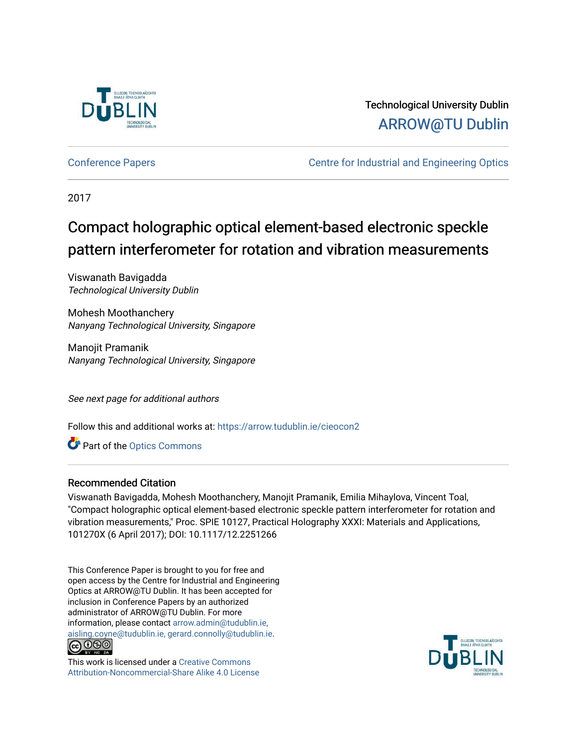

## Technological University Dublin [ARROW@TU Dublin](https://arrow.tudublin.ie/)

[Conference Papers](https://arrow.tudublin.ie/cieocon2) [Centre for Industrial and Engineering Optics](https://arrow.tudublin.ie/cieo) 

2017

# Compact holographic optical element-based electronic speckle pattern interferometer for rotation and vibration measurements

Viswanath Bavigadda Technological University Dublin

Mohesh Moothanchery Nanyang Technological University, Singapore

Manojit Pramanik Nanyang Technological University, Singapore

See next page for additional authors

Follow this and additional works at: [https://arrow.tudublin.ie/cieocon2](https://arrow.tudublin.ie/cieocon2?utm_source=arrow.tudublin.ie%2Fcieocon2%2F41&utm_medium=PDF&utm_campaign=PDFCoverPages) 

**Part of the [Optics Commons](http://network.bepress.com/hgg/discipline/204?utm_source=arrow.tudublin.ie%2Fcieocon2%2F41&utm_medium=PDF&utm_campaign=PDFCoverPages)** 

#### Recommended Citation

Viswanath Bavigadda, Mohesh Moothanchery, Manojit Pramanik, Emilia Mihaylova, Vincent Toal, "Compact holographic optical element-based electronic speckle pattern interferometer for rotation and vibration measurements," Proc. SPIE 10127, Practical Holography XXXI: Materials and Applications, 101270X (6 April 2017); DOI: 10.1117/12.2251266

This Conference Paper is brought to you for free and open access by the Centre for Industrial and Engineering Optics at ARROW@TU Dublin. It has been accepted for inclusion in Conference Papers by an authorized administrator of ARROW@TU Dublin. For more information, please contact [arrow.admin@tudublin.ie,](mailto:arrow.admin@tudublin.ie,%20aisling.coyne@tudublin.ie,%20gerard.connolly@tudublin.ie)  [aisling.coyne@tudublin.ie, gerard.connolly@tudublin.ie](mailto:arrow.admin@tudublin.ie,%20aisling.coyne@tudublin.ie,%20gerard.connolly@tudublin.ie).



This work is licensed under a [Creative Commons](http://creativecommons.org/licenses/by-nc-sa/4.0/) [Attribution-Noncommercial-Share Alike 4.0 License](http://creativecommons.org/licenses/by-nc-sa/4.0/)

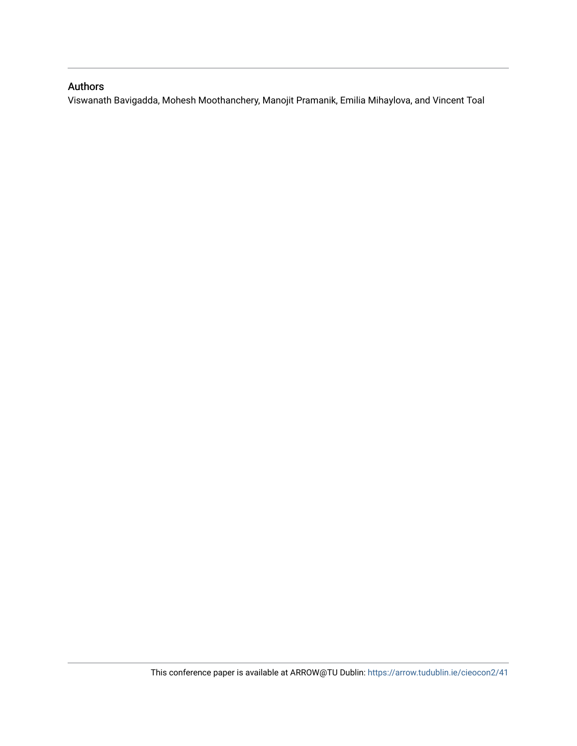### Authors

Viswanath Bavigadda, Mohesh Moothanchery, Manojit Pramanik, Emilia Mihaylova, and Vincent Toal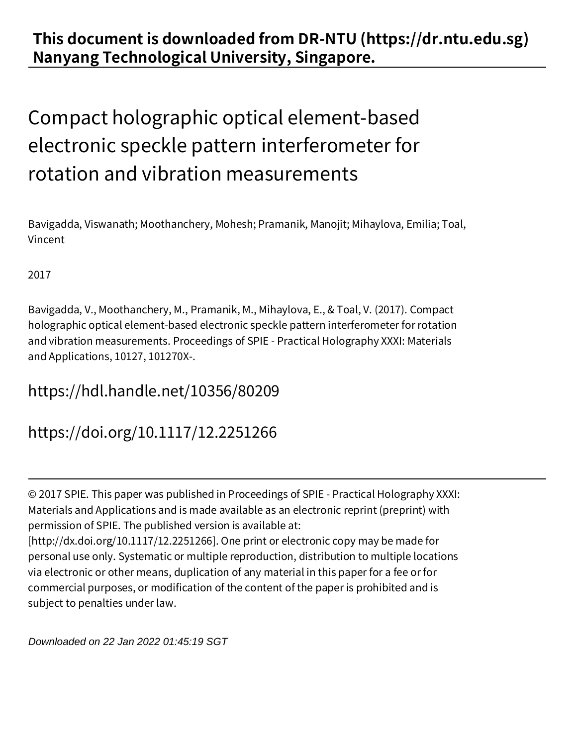## **This document is downloaded from DR‑NTU (https://dr.ntu.edu.sg) Nanyang Technological University, Singapore.**

# Compact holographic optical element‑based electronic speckle pattern interferometer for rotation and vibration measurements

Bavigadda, Viswanath; Moothanchery, Mohesh; Pramanik, Manojit; Mihaylova, Emilia; Toal, Vincent

2017

Bavigadda, V., Moothanchery, M., Pramanik, M., Mihaylova, E., & Toal, V. (2017). Compact holographic optical element‑based electronic speckle pattern interferometer for rotation and vibration measurements. Proceedings of SPIE ‑ Practical Holography XXXI: Materials and Applications, 10127, 101270X‑.

## https://hdl.handle.net/10356/80209

https://doi.org/10.1117/12.2251266

© 2017 SPIE. This paper was published in Proceedings of SPIE ‑ Practical Holography XXXI: Materials and Applications and is made available as an electronic reprint (preprint) with permission of SPIE. The published version is available at: [http://dx.doi.org/10.1117/12.2251266]. One print or electronic copy may be made for personal use only. Systematic or multiple reproduction, distribution to multiple locations via electronic or other means, duplication of any material in this paper for a fee or for commercial purposes, or modification of the content of the paper is prohibited and is subject to penalties under law.

Downloaded on 22 Jan 2022 01:45:19 SGT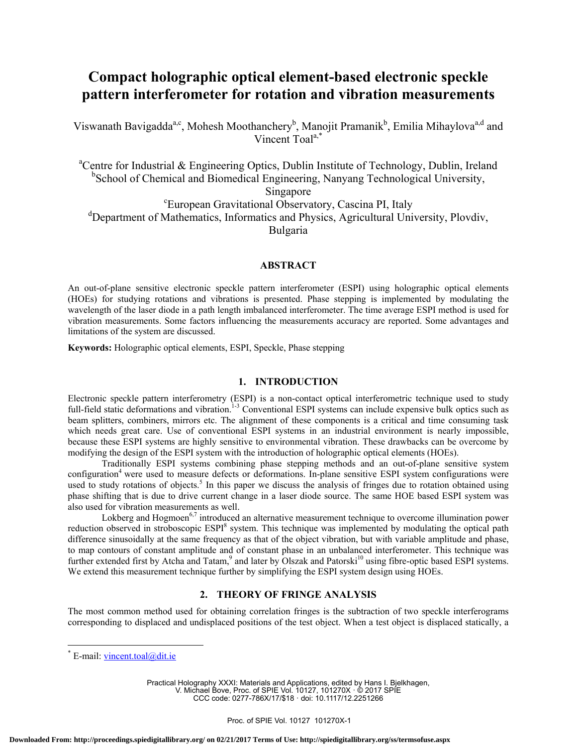## **Compact holographic optical element-based electronic speckle pattern interferometer for rotation and vibration measurements**

Viswanath Bavigadda<sup>a,c</sup>, Mohesh Moothanchery<sup>b</sup>, Manojit Pramanik<sup>b</sup>, Emilia Mihaylova<sup>a,d</sup> and Vincent Toala,\*

<sup>a</sup>Centre for Industrial & Engineering Optics, Dublin Institute of Technology, Dublin, Ireland <sup>b</sup>School of Chemical and Biomedical Engineering, Nanyang Technological University, Singapore<br>European Gravitational Observatory, Cascina PI, Italy<sup>-</sup> <sup>d</sup>Department of Mathematics, Informatics and Physics, Agricultural University, Plovdiv, Bulgaria

#### **ABSTRACT**

An out-of-plane sensitive electronic speckle pattern interferometer (ESPI) using holographic optical elements (HOEs) for studying rotations and vibrations is presented. Phase stepping is implemented by modulating the wavelength of the laser diode in a path length imbalanced interferometer. The time average ESPI method is used for vibration measurements. Some factors influencing the measurements accuracy are reported. Some advantages and limitations of the system are discussed.

**Keywords:** Holographic optical elements, ESPI, Speckle, Phase stepping

#### **1. INTRODUCTION**

Electronic speckle pattern interferometry (ESPI) is a non-contact optical interferometric technique used to study full-field static deformations and vibration.<sup>1-3</sup> Conventional ESPI systems can include expensive bulk optics such as beam splitters, combiners, mirrors etc. The alignment of these components is a critical and time consuming task which needs great care. Use of conventional ESPI systems in an industrial environment is nearly impossible, because these ESPI systems are highly sensitive to environmental vibration. These drawbacks can be overcome by modifying the design of the ESPI system with the introduction of holographic optical elements (HOEs).

Traditionally ESPI systems combining phase stepping methods and an out-of-plane sensitive system configuration<sup>4</sup> were used to measure defects or deformations. In-plane sensitive ESPI system configurations were used to study rotations of objects.<sup>5</sup> In this paper we discuss the analysis of fringes due to rotation obtained using phase shifting that is due to drive current change in a laser diode source. The same HOE based ESPI system was also used for vibration measurements as well.

Lokberg and Hogmoen<sup>6,7</sup> introduced an alternative measurement technique to overcome illumination power reduction observed in stroboscopic ESPI<sup>8</sup> system. This technique was implemented by modulating the optical path difference sinusoidally at the same frequency as that of the object vibration, but with variable amplitude and phase, to map contours of constant amplitude and of constant phase in an unbalanced interferometer. This technique was further extended first by Atcha and Tatam,<sup>9</sup> and later by Olszak and Patorski<sup>10</sup> using fibre-optic based ESPI systems. We extend this measurement technique further by simplifying the ESPI system design using HOEs.

#### **2. THEORY OF FRINGE ANALYSIS**

The most common method used for obtaining correlation fringes is the subtraction of two speckle interferograms corresponding to displaced and undisplaced positions of the test object. When a test object is displaced statically, a

 $\overline{a}$ 

Practical Holography XXXI: Materials and Applications, edited by Hans I. Bjelkhagen, V. Michael Bove, Proc. of SPIE Vol. 10127, 101270X · © 2017 SPIE CCC code: 0277-786X/17/\$18 · doi: 10.1117/12.2251266

<sup>\*</sup> E-mail: vincent.toal@dit.ie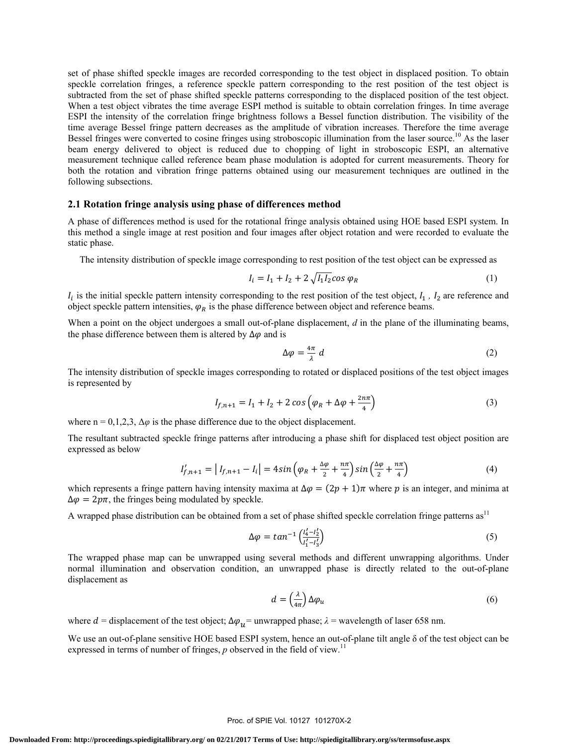set of phase shifted speckle images are recorded corresponding to the test object in displaced position. To obtain speckle correlation fringes, a reference speckle pattern corresponding to the rest position of the test object is subtracted from the set of phase shifted speckle patterns corresponding to the displaced position of the test object. When a test object vibrates the time average ESPI method is suitable to obtain correlation fringes. In time average ESPI the intensity of the correlation fringe brightness follows a Bessel function distribution. The visibility of the time average Bessel fringe pattern decreases as the amplitude of vibration increases. Therefore the time average Bessel fringes were converted to cosine fringes using stroboscopic illumination from the laser source.<sup>10</sup> As the laser beam energy delivered to object is reduced due to chopping of light in stroboscopic ESPI, an alternative measurement technique called reference beam phase modulation is adopted for current measurements. Theory for both the rotation and vibration fringe patterns obtained using our measurement techniques are outlined in the following subsections.

#### **2.1 Rotation fringe analysis using phase of differences method**

A phase of differences method is used for the rotational fringe analysis obtained using HOE based ESPI system. In this method a single image at rest position and four images after object rotation and were recorded to evaluate the static phase.

The intensity distribution of speckle image corresponding to rest position of the test object can be expressed as

$$
I_i = I_1 + I_2 + 2\sqrt{I_1 I_2} \cos \varphi_R
$$
 (1)

 $I_i$  is the initial speckle pattern intensity corresponding to the rest position of the test object,  $I_1$ ,  $I_2$  are reference and object speckle pattern intensities,  $\varphi_R$  is the phase difference between object and reference beams.

When a point on the object undergoes a small out-of-plane displacement, *d* in the plane of the illuminating beams, the phase difference between them is altered by  $\Delta \varphi$  and is

$$
\Delta \varphi = \frac{4\pi}{\lambda} \, d \tag{2}
$$

The intensity distribution of speckle images corresponding to rotated or displaced positions of the test object images is represented by

$$
I_{f,n+1} = I_1 + I_2 + 2\cos\left(\varphi_R + \Delta\varphi + \frac{2n\pi}{4}\right)
$$
 (3)

where  $n = 0, 1, 2, 3, \Delta\varphi$  is the phase difference due to the object displacement.

The resultant subtracted speckle fringe patterns after introducing a phase shift for displaced test object position are expressed as below

$$
I'_{f,n+1} = |I_{f,n+1} - I_i| = 4\sin\left(\varphi_R + \frac{\Delta\varphi}{2} + \frac{n\pi}{4}\right)\sin\left(\frac{\Delta\varphi}{2} + \frac{n\pi}{4}\right) \tag{4}
$$

which represents a fringe pattern having intensity maxima at  $\Delta \varphi = (2p + 1)\pi$  where p is an integer, and minima at  $\Delta \varphi = 2p\pi$ , the fringes being modulated by speckle.

A wrapped phase distribution can be obtained from a set of phase shifted speckle correlation fringe patterns  $as<sup>11</sup>$ 

$$
\Delta \varphi = \tan^{-1} \left( \frac{l'_4 - l'_2}{l'_1 - l'_3} \right) \tag{5}
$$

The wrapped phase map can be unwrapped using several methods and different unwrapping algorithms. Under normal illumination and observation condition, an unwrapped phase is directly related to the out-of-plane displacement as

$$
d = \left(\frac{\lambda}{4\pi}\right) \Delta \varphi_u \tag{6}
$$

where  $d =$  displacement of the test object;  $\Delta \varphi_{\mu} =$  unwrapped phase;  $\lambda =$  wavelength of laser 658 nm.

We use an out-of-plane sensitive HOE based ESPI system, hence an out-of-plane tilt angle δ of the test object can be expressed in terms of number of fringes, *p* observed in the field of view.<sup>11</sup>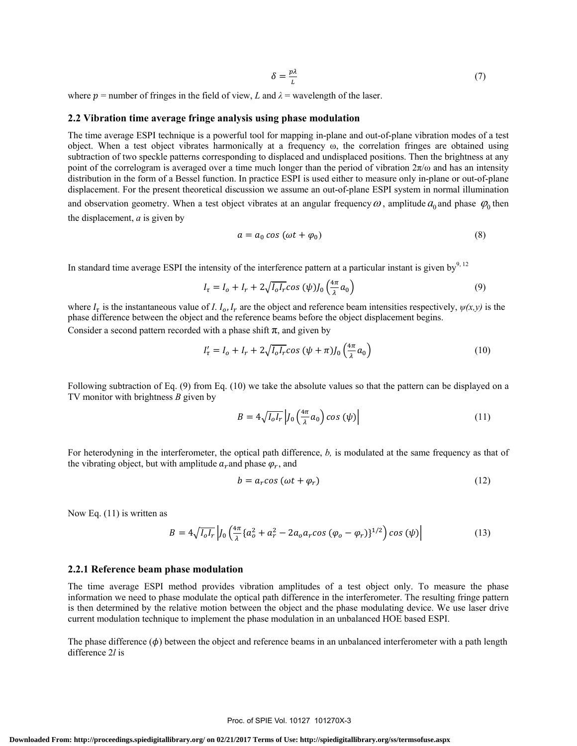$$
\delta = \frac{p\lambda}{L} \tag{7}
$$

where  $p$  = number of fringes in the field of view, *L* and  $\lambda$  = wavelength of the laser.

#### **2.2 Vibration time average fringe analysis using phase modulation**

The time average ESPI technique is a powerful tool for mapping in-plane and out-of-plane vibration modes of a test object. When a test object vibrates harmonically at a frequency ω, the correlation fringes are obtained using subtraction of two speckle patterns corresponding to displaced and undisplaced positions. Then the brightness at any point of the correlogram is averaged over a time much longer than the period of vibration  $2\pi/\omega$  and has an intensity distribution in the form of a Bessel function. In practice ESPI is used either to measure only in-plane or out-of-plane displacement. For the present theoretical discussion we assume an out-of-plane ESPI system in normal illumination and observation geometry. When a test object vibrates at an angular frequency  $\omega$ , amplitude  $a_0$  and phase  $\varphi_0$  then the displacement, *a* is given by

$$
a = a_0 \cos(\omega t + \varphi_0) \tag{8}
$$

In standard time average ESPI the intensity of the interference pattern at a particular instant is given by $^{9,12}$ 

$$
I_{\tau} = I_o + I_r + 2\sqrt{I_o I_r} \cos{(\psi)} J_0 \left(\frac{4\pi}{\lambda} a_0\right)
$$
\n<sup>(9)</sup>

where  $I_{\tau}$  is the instantaneous value of *I*.  $I_0$ ,  $I_r$  are the object and reference beam intensities respectively,  $\psi(x, y)$  is the phase difference between the object and the reference beams before the object displacement begins. Consider a second pattern recorded with a phase shift  $\pi$ , and given by

$$
I'_{\tau} = I_o + I_r + 2\sqrt{I_o I_r} \cos\left(\psi + \pi\right) J_0\left(\frac{4\pi}{\lambda}a_0\right) \tag{10}
$$

Following subtraction of Eq. (9) from Eq. (10) we take the absolute values so that the pattern can be displayed on a TV monitor with brightness *B* given by

$$
B = 4\sqrt{I_o I_r} \left| J_0 \left( \frac{4\pi}{\lambda} a_0 \right) \cos \left( \psi \right) \right| \tag{11}
$$

For heterodyning in the interferometer, the optical path difference, *b,* is modulated at the same frequency as that of the vibrating object, but with amplitude  $a_r$  and phase  $\varphi_r$ , and

$$
b = a_r \cos(\omega t + \varphi_r) \tag{12}
$$

Now Eq. (11) is written as

$$
B = 4\sqrt{I_0 I_r} \left| J_0 \left( \frac{4\pi}{\lambda} \{ a_0^2 + a_r^2 - 2a_0 a_r \cos \left( \varphi_0 - \varphi_r \right) \}^{1/2} \right) \cos \left( \psi \right) \right| \tag{13}
$$

#### **2.2.1 Reference beam phase modulation**

The time average ESPI method provides vibration amplitudes of a test object only. To measure the phase information we need to phase modulate the optical path difference in the interferometer. The resulting fringe pattern is then determined by the relative motion between the object and the phase modulating device. We use laser drive current modulation technique to implement the phase modulation in an unbalanced HOE based ESPI.

The phase difference  $(\phi)$  between the object and reference beams in an unbalanced interferometer with a path length difference 2*l* is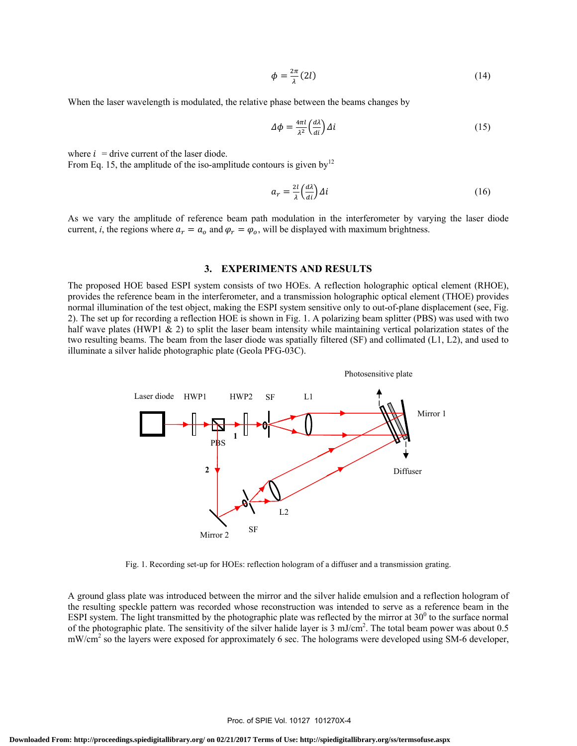$$
\phi = \frac{2\pi}{\lambda}(2l) \tag{14}
$$

When the laser wavelength is modulated, the relative phase between the beams changes by

$$
\Delta \phi = \frac{4\pi l}{\lambda^2} \left(\frac{d\lambda}{di}\right) \Delta i \tag{15}
$$

where  $i =$  drive current of the laser diode.

From Eq. 15, the amplitude of the iso-amplitude contours is given by<sup>12</sup>

$$
a_r = \frac{2l}{\lambda} \left(\frac{d\lambda}{di}\right) \Delta i \tag{16}
$$

 As we vary the amplitude of reference beam path modulation in the interferometer by varying the laser diode current, *i*, the regions where  $a_r = a_o$  and  $\varphi_r = \varphi_o$ , will be displayed with maximum brightness.

#### **3. EXPERIMENTS AND RESULTS**

The proposed HOE based ESPI system consists of two HOEs. A reflection holographic optical element (RHOE), provides the reference beam in the interferometer, and a transmission holographic optical element (THOE) provides normal illumination of the test object, making the ESPI system sensitive only to out-of-plane displacement (see, Fig. 2). The set up for recording a reflection HOE is shown in Fig. 1. A polarizing beam splitter (PBS) was used with two half wave plates (HWP1  $\&$  2) to split the laser beam intensity while maintaining vertical polarization states of the two resulting beams. The beam from the laser diode was spatially filtered (SF) and collimated (L1, L2), and used to illuminate a silver halide photographic plate (Geola PFG-03C).



Fig. 1. Recording set-up for HOEs: reflection hologram of a diffuser and a transmission grating.

A ground glass plate was introduced between the mirror and the silver halide emulsion and a reflection hologram of the resulting speckle pattern was recorded whose reconstruction was intended to serve as a reference beam in the ESPI system. The light transmitted by the photographic plate was reflected by the mirror at  $30^{\circ}$  to the surface normal of the photographic plate. The sensitivity of the silver halide layer is 3 mJ/cm<sup>2</sup>. The total beam power was about 0.5 mW/cm<sup>2</sup> so the layers were exposed for approximately 6 sec. The holograms were developed using SM-6 developer,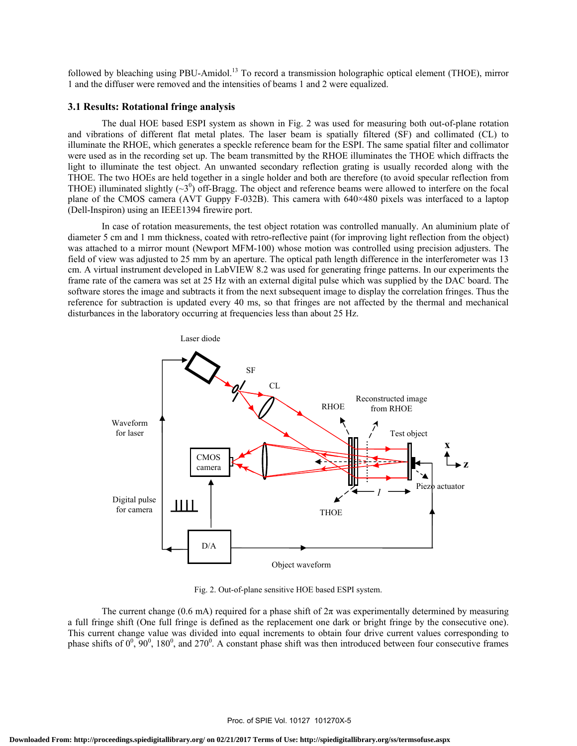followed by bleaching using PBU-Amidol.<sup>13</sup> To record a transmission holographic optical element (THOE), mirror 1 and the diffuser were removed and the intensities of beams 1 and 2 were equalized.

#### **3.1 Results: Rotational fringe analysis**

The dual HOE based ESPI system as shown in Fig. 2 was used for measuring both out-of-plane rotation and vibrations of different flat metal plates. The laser beam is spatially filtered (SF) and collimated (CL) to illuminate the RHOE, which generates a speckle reference beam for the ESPI. The same spatial filter and collimator were used as in the recording set up. The beam transmitted by the RHOE illuminates the THOE which diffracts the light to illuminate the test object. An unwanted secondary reflection grating is usually recorded along with the THOE. The two HOEs are held together in a single holder and both are therefore (to avoid specular reflection from THOE) illuminated slightly  $(\sim 3^0)$  off-Bragg. The object and reference beams were allowed to interfere on the focal plane of the CMOS camera (AVT Guppy F-032B). This camera with 640×480 pixels was interfaced to a laptop (Dell-Inspiron) using an IEEE1394 firewire port.

In case of rotation measurements, the test object rotation was controlled manually. An aluminium plate of diameter 5 cm and 1 mm thickness, coated with retro-reflective paint (for improving light reflection from the object) was attached to a mirror mount (Newport MFM-100) whose motion was controlled using precision adjusters. The field of view was adjusted to 25 mm by an aperture. The optical path length difference in the interferometer was 13 cm. A virtual instrument developed in LabVIEW 8.2 was used for generating fringe patterns. In our experiments the frame rate of the camera was set at 25 Hz with an external digital pulse which was supplied by the DAC board. The software stores the image and subtracts it from the next subsequent image to display the correlation fringes. Thus the reference for subtraction is updated every 40 ms, so that fringes are not affected by the thermal and mechanical disturbances in the laboratory occurring at frequencies less than about 25 Hz.



Fig. 2. Out-of-plane sensitive HOE based ESPI system.

The current change (0.6 mA) required for a phase shift of  $2\pi$  was experimentally determined by measuring a full fringe shift (One full fringe is defined as the replacement one dark or bright fringe by the consecutive one). This current change value was divided into equal increments to obtain four drive current values corresponding to phase shifts of  $0^0$ ,  $90^0$ ,  $180^0$ , and  $270^0$ . A constant phase shift was then introduced between four consecutive frames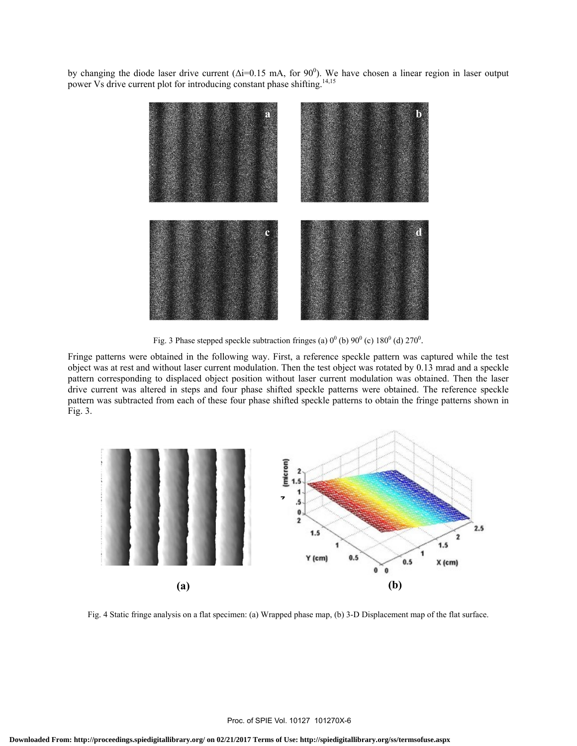by changing the diode laser drive current ( $\Delta i$ =0.15 mA, for 90<sup>0</sup>). We have chosen a linear region in laser output power Vs drive current plot for introducing constant phase shifting.<sup>14,15</sup>



Fig. 3 Phase stepped speckle subtraction fringes (a)  $0^0$  (b)  $90^0$  (c)  $180^0$  (d)  $270^0$ .

Fringe patterns were obtained in the following way. First, a reference speckle pattern was captured while the test object was at rest and without laser current modulation. Then the test object was rotated by 0.13 mrad and a speckle pattern corresponding to displaced object position without laser current modulation was obtained. Then the laser drive current was altered in steps and four phase shifted speckle patterns were obtained. The reference speckle pattern was subtracted from each of these four phase shifted speckle patterns to obtain the fringe patterns shown in Fig. 3.



Fig. 4 Static fringe analysis on a flat specimen: (a) Wrapped phase map, (b) 3-D Displacement map of the flat surface.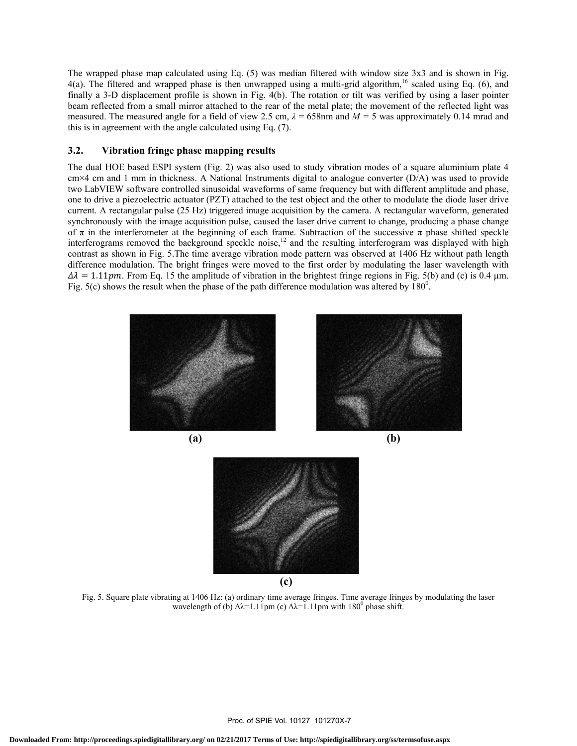The wrapped phase map calculated using Eq. (5) was median filtered with window size 3x3 and is shown in Fig. 4(a). The filtered and wrapped phase is then unwrapped using a multi-grid algorithm,<sup>16</sup> scaled using Eq. (6), and finally a 3-D displacement profile is shown in Fig. 4(b). The rotation or tilt was verified by using a laser pointer beam reflected from a small mirror attached to the rear of the metal plate; the movement of the reflected light was measured. The measured angle for a field of view 2.5 cm,  $\lambda = 658$ nm and  $M = 5$  was approximately 0.14 mrad and this is in agreement with the angle calculated using Eq. (7).

#### **3.2. Vibration fringe phase mapping results**

The dual HOE based ESPI system (Fig. 2) was also used to study vibration modes of a square aluminium plate 4 cm×4 cm and 1 mm in thickness. A National Instruments digital to analogue converter (D/A) was used to provide two LabVIEW software controlled sinusoidal waveforms of same frequency but with different amplitude and phase, one to drive a piezoelectric actuator (PZT) attached to the test object and the other to modulate the diode laser drive current. A rectangular pulse (25 Hz) triggered image acquisition by the camera. A rectangular waveform, generated synchronously with the image acquisition pulse, caused the laser drive current to change, producing a phase change of π in the interferometer at the beginning of each frame. Subtraction of the successive π phase shifted speckle interferograms removed the background speckle noise,<sup>12</sup> and the resulting interferogram was displayed with high contrast as shown in Fig. 5.The time average vibration mode pattern was observed at 1406 Hz without path length difference modulation. The bright fringes were moved to the first order by modulating the laser wavelength with  $\Delta \lambda = 1.11 \text{pm}$ . From Eq. 15 the amplitude of vibration in the brightest fringe regions in Fig. 5(b) and (c) is 0.4 µm. Fig.  $5(c)$  shows the result when the phase of the path difference modulation was altered by  $180^\circ$ .



Fig. 5. Square plate vibrating at 1406 Hz: (a) ordinary time average fringes. Time average fringes by modulating the laser wavelength of (b)  $\Delta \lambda = 1.11$ pm (c)  $\Delta \lambda = 1.11$ pm with 180<sup>0</sup> phase shift.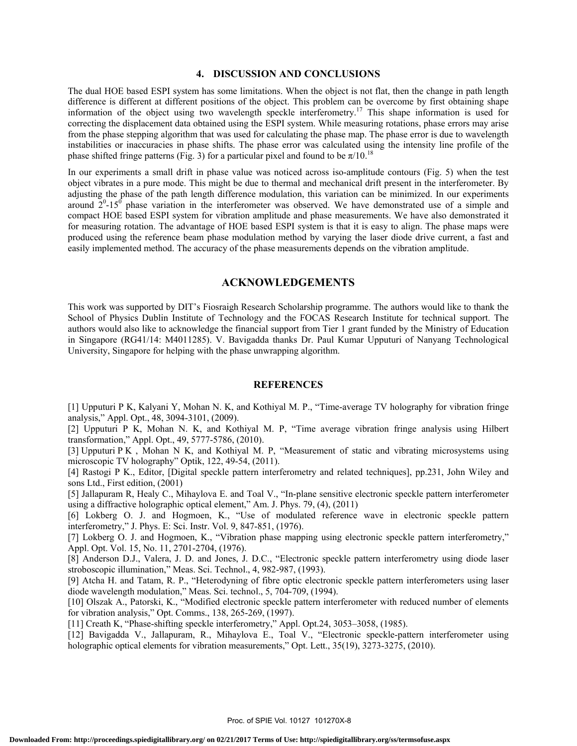#### **4. DISCUSSION AND CONCLUSIONS**

The dual HOE based ESPI system has some limitations. When the object is not flat, then the change in path length difference is different at different positions of the object. This problem can be overcome by first obtaining shape information of the object using two wavelength speckle interferometry.<sup>17</sup> This shape information is used for correcting the displacement data obtained using the ESPI system. While measuring rotations, phase errors may arise from the phase stepping algorithm that was used for calculating the phase map. The phase error is due to wavelength instabilities or inaccuracies in phase shifts. The phase error was calculated using the intensity line profile of the phase shifted fringe patterns (Fig. 3) for a particular pixel and found to be  $\pi/10$ .<sup>18</sup>

In our experiments a small drift in phase value was noticed across iso-amplitude contours (Fig. 5) when the test object vibrates in a pure mode. This might be due to thermal and mechanical drift present in the interferometer. By adjusting the phase of the path length difference modulation, this variation can be minimized. In our experiments around  $2^{0}$ -15<sup>0</sup> phase variation in the interferometer was observed. We have demonstrated use of a simple and compact HOE based ESPI system for vibration amplitude and phase measurements. We have also demonstrated it for measuring rotation. The advantage of HOE based ESPI system is that it is easy to align. The phase maps were produced using the reference beam phase modulation method by varying the laser diode drive current, a fast and easily implemented method. The accuracy of the phase measurements depends on the vibration amplitude.

#### **ACKNOWLEDGEMENTS**

This work was supported by DIT's Fiosraigh Research Scholarship programme. The authors would like to thank the School of Physics Dublin Institute of Technology and the FOCAS Research Institute for technical support. The authors would also like to acknowledge the financial support from Tier 1 grant funded by the Ministry of Education in Singapore (RG41/14: M4011285). V. Bavigadda thanks Dr. Paul Kumar Upputuri of Nanyang Technological University, Singapore for helping with the phase unwrapping algorithm.

#### **REFERENCES**

[1] Upputuri P K, Kalyani Y, Mohan N. K, and Kothiyal M. P., "Time-average TV holography for vibration fringe analysis," Appl. Opt., 48, 3094-3101, (2009).

[2] Upputuri P K, Mohan N. K, and Kothiyal M. P, "Time average vibration fringe analysis using Hilbert transformation," Appl. Opt., 49, 5777-5786, (2010).

[3] Upputuri P K , Mohan N K, and Kothiyal M. P, "Measurement of static and vibrating microsystems using microscopic TV holography" Optik, 122, 49-54, (2011).

[4] Rastogi P K., Editor, [Digital speckle pattern interferometry and related techniques], pp.231, John Wiley and sons Ltd., First edition, (2001)

[5] Jallapuram R, Healy C., Mihaylova E. and Toal V., "In-plane sensitive electronic speckle pattern interferometer using a diffractive holographic optical element," Am. J. Phys. 79, (4), (2011)

[6] Lokberg O. J. and Hogmoen, K., "Use of modulated reference wave in electronic speckle pattern interferometry," J. Phys. E: Sci. Instr. Vol. 9, 847-851, (1976).

[7] Lokberg O. J. and Hogmoen, K., "Vibration phase mapping using electronic speckle pattern interferometry," Appl. Opt. Vol. 15, No. 11, 2701-2704, (1976).

[8] Anderson D.J., Valera, J. D. and Jones, J. D.C., "Electronic speckle pattern interferometry using diode laser stroboscopic illumination," Meas. Sci. Technol., 4, 982-987, (1993).

[9] Atcha H. and Tatam, R. P., "Heterodyning of fibre optic electronic speckle pattern interferometers using laser diode wavelength modulation," Meas. Sci. technol., 5, 704-709, (1994).

[10] Olszak A., Patorski, K., "Modified electronic speckle pattern interferometer with reduced number of elements for vibration analysis," Opt. Comms., 138, 265-269, (1997).

[11] Creath K, "Phase-shifting speckle interferometry," Appl. Opt.24, 3053–3058, (1985).

[12] Bavigadda V., Jallapuram, R., Mihaylova E., Toal V., "Electronic speckle-pattern interferometer using holographic optical elements for vibration measurements," Opt. Lett., 35(19), 3273-3275, (2010).